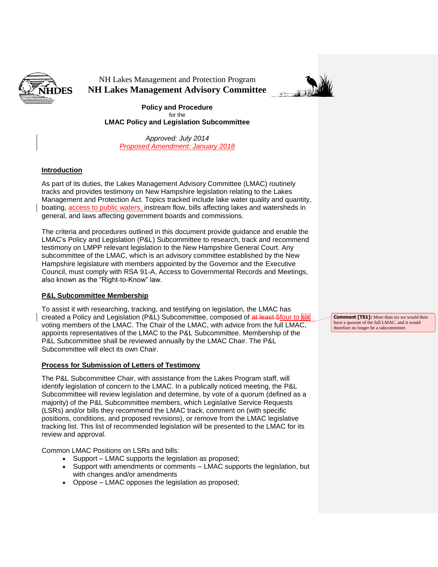

NH Lakes Management and Protection Program **NH Lakes Management Advisory Committee**



**Policy and Procedure** for the **LMAC Policy and Legislation Subcommittee**

*Approved: July 2014 Proposed Amendment: January 2018*

## **Introduction**

As part of its duties, the Lakes Management Advisory Committee (LMAC) routinely tracks and provides testimony on New Hampshire legislation relating to the Lakes Management and Protection Act. Topics tracked include lake water quality and quantity, boating, access to public waters, instream flow, bills affecting lakes and watersheds in general, and laws affecting government boards and commissions.

The criteria and procedures outlined in this document provide guidance and enable the LMAC's Policy and Legislation (P&L) Subcommittee to research, track and recommend testimony on LMPP relevant legislation to the New Hampshire General Court. Any subcommittee of the LMAC, which is an advisory committee established by the New Hampshire legislature with members appointed by the Governor and the Executive Council, must comply with RSA 91-A, Access to Governmental Records and Meetings, also known as the "Right-to-Know" law.

## **P&L Subcommittee Membership**

To assist it with researching, tracking, and testifying on legislation, the LMAC has created a Policy and Legislation (P&L) Subcommittee, composed of at least 5four to six voting members of the LMAC. The Chair of the LMAC, with advice from the full LMAC, appoints representatives of the LMAC to the P&L Subcommittee. Membership of the P&L Subcommittee shall be reviewed annually by the LMAC Chair. The P&L Subcommittee will elect its own Chair.

## **Process for Submission of Letters of Testimony**

The P&L Subcommittee Chair, with assistance from the Lakes Program staff, will identify legislation of concern to the LMAC. In a publically noticed meeting, the P&L Subcommittee will review legislation and determine, by vote of a quorum (defined as a majority) of the P&L Subcommittee members, which Legislative Service Requests (LSRs) and/or bills they recommend the LMAC track, comment on (with specific positions, conditions, and proposed revisions), or remove from the LMAC legislative tracking list. This list of recommended legislation will be presented to the LMAC for its review and approval.

Common LMAC Positions on LSRs and bills:

- Support LMAC supports the legislation as proposed;
- Support with amendments or comments LMAC supports the legislation, but with changes and/or amendments
- Oppose LMAC opposes the legislation as proposed;

**Comment [TS1]:** More than six we would then have a quorum of the full LMAC, and it would therefore no longer be a subcommittee.